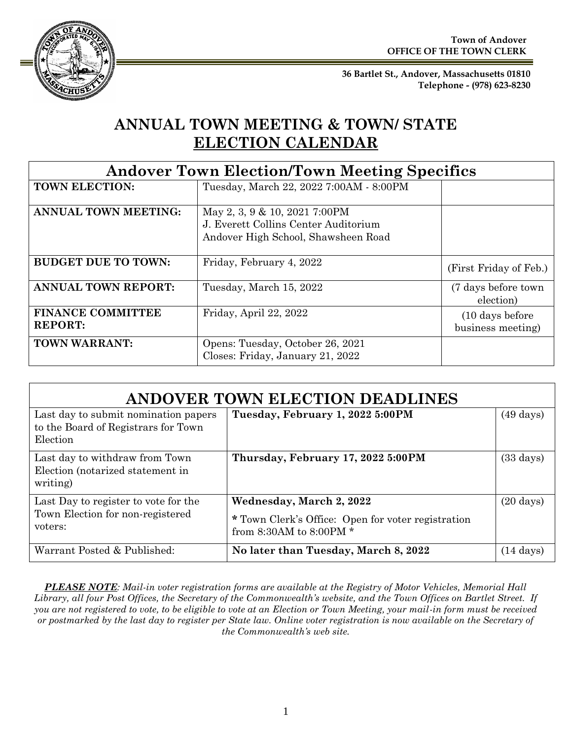

**36 Bartlet St., Andover, Massachusetts 01810 Telephone - (978) 623-8230**

## **ANNUAL TOWN MEETING & TOWN/ STATE ELECTION CALENDAR**

| <b>Andover Town Election/Town Meeting Specifics</b> |                                                                                                              |                                       |  |  |
|-----------------------------------------------------|--------------------------------------------------------------------------------------------------------------|---------------------------------------|--|--|
| TOWN ELECTION:                                      | Tuesday, March 22, 2022 7:00 AM - 8:00 PM                                                                    |                                       |  |  |
| <b>ANNUAL TOWN MEETING:</b>                         | May 2, 3, 9 & 10, 2021 7:00PM<br>J. Everett Collins Center Auditorium<br>Andover High School, Shawsheen Road |                                       |  |  |
| <b>BUDGET DUE TO TOWN:</b>                          | Friday, February 4, 2022                                                                                     | (First Friday of Feb.)                |  |  |
| <b>ANNUAL TOWN REPORT:</b>                          | Tuesday, March 15, 2022                                                                                      | (7 days before town<br>election)      |  |  |
| <b>FINANCE COMMITTEE</b><br><b>REPORT:</b>          | Friday, April 22, 2022                                                                                       | (10 days before)<br>business meeting) |  |  |
| <b>TOWN WARRANT:</b>                                | Opens: Tuesday, October 26, 2021<br>Closes: Friday, January 21, 2022                                         |                                       |  |  |

| ANDOVER TOWN ELECTION DEADLINES                                                         |                                                                                                             |                     |  |  |
|-----------------------------------------------------------------------------------------|-------------------------------------------------------------------------------------------------------------|---------------------|--|--|
| Last day to submit nomination papers<br>to the Board of Registrars for Town<br>Election | Tuesday, February 1, 2022 5:00PM                                                                            | $(49 \text{ days})$ |  |  |
| Last day to withdraw from Town<br>Election (notarized statement in<br>writing)          | Thursday, February 17, 2022 5:00PM                                                                          | $(33 \text{ days})$ |  |  |
| Last Day to register to vote for the<br>Town Election for non-registered<br>voters:     | Wednesday, March 2, 2022<br>* Town Clerk's Office: Open for voter registration<br>from 8:30AM to 8:00PM $*$ | $(20 \text{ days})$ |  |  |
| Warrant Posted & Published:                                                             | No later than Tuesday, March 8, 2022                                                                        | $(14 \text{ days})$ |  |  |

*PLEASE NOTE: Mail-in voter registration forms are available at the Registry of Motor Vehicles, Memorial Hall Library, all four Post Offices, the Secretary of the Commonwealth's website, and the Town Offices on Bartlet Street. If you are not registered to vote, to be eligible to vote at an Election or Town Meeting, your mail-in form must be received or postmarked by the last day to register per State law. Online voter registration is now available on the Secretary of the Commonwealth's web site.*